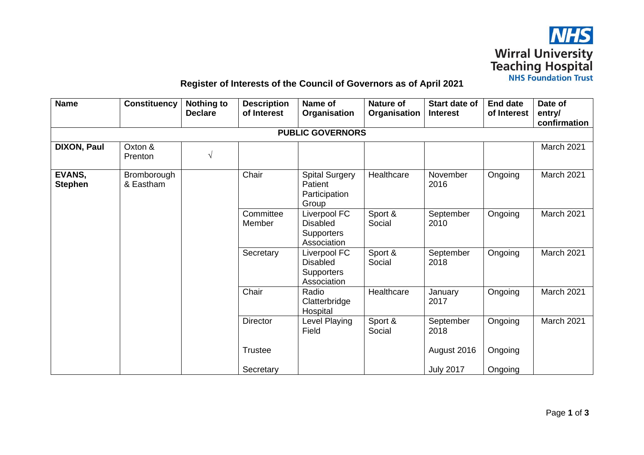

## **Register of Interests of the Council of Governors as of April 2021**

| <b>Name</b>              | <b>Constituency</b>      | <b>Nothing to</b><br><b>Declare</b> | <b>Description</b><br>of Interest | Name of<br>Organisation                                             | <b>Nature of</b><br>Organisation | <b>Start date of</b><br><b>Interest</b> | <b>End date</b><br>of Interest | Date of<br>entry/<br>confirmation |  |
|--------------------------|--------------------------|-------------------------------------|-----------------------------------|---------------------------------------------------------------------|----------------------------------|-----------------------------------------|--------------------------------|-----------------------------------|--|
| <b>PUBLIC GOVERNORS</b>  |                          |                                     |                                   |                                                                     |                                  |                                         |                                |                                   |  |
| <b>DIXON, Paul</b>       | Oxton &<br>Prenton       | V                                   |                                   |                                                                     |                                  |                                         |                                | March 2021                        |  |
| EVANS,<br><b>Stephen</b> | Bromborough<br>& Eastham |                                     | Chair                             | <b>Spital Surgery</b><br>Patient<br>Participation<br>Group          | Healthcare                       | November<br>2016                        | Ongoing                        | March 2021                        |  |
|                          |                          |                                     | Committee<br>Member               | Liverpool FC<br><b>Disabled</b><br><b>Supporters</b><br>Association | Sport &<br>Social                | September<br>2010                       | Ongoing                        | March 2021                        |  |
|                          |                          |                                     | Secretary                         | Liverpool FC<br><b>Disabled</b><br><b>Supporters</b><br>Association | Sport &<br>Social                | September<br>2018                       | Ongoing                        | March 2021                        |  |
|                          |                          |                                     | Chair                             | Radio<br>Clatterbridge<br>Hospital                                  | Healthcare                       | January<br>2017                         | Ongoing                        | March 2021                        |  |
|                          |                          |                                     | Director                          | Level Playing<br>Field                                              | Sport &<br>Social                | September<br>2018                       | Ongoing                        | March 2021                        |  |
|                          |                          |                                     | <b>Trustee</b>                    |                                                                     |                                  | August 2016                             | Ongoing                        |                                   |  |
|                          |                          |                                     | Secretary                         |                                                                     |                                  | <b>July 2017</b>                        | Ongoing                        |                                   |  |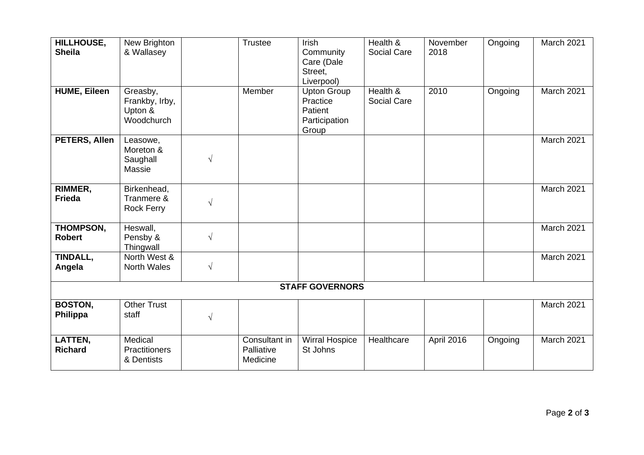| HILLHOUSE,<br><b>Sheila</b><br><b>HUME, Eileen</b> | New Brighton<br>& Wallasey<br>Greasby,         |           | Trustee<br>Member                       | Irish<br>Community<br>Care (Dale<br>Street,<br>Liverpool)           | Health &<br>Social Care<br>Health & | November<br>2018<br>2010 | Ongoing | March 2021<br><b>March 2021</b> |  |
|----------------------------------------------------|------------------------------------------------|-----------|-----------------------------------------|---------------------------------------------------------------------|-------------------------------------|--------------------------|---------|---------------------------------|--|
|                                                    | Frankby, Irby,<br>Upton &<br>Woodchurch        |           |                                         | <b>Upton Group</b><br>Practice<br>Patient<br>Participation<br>Group | Social Care                         |                          | Ongoing |                                 |  |
| PETERS, Allen                                      | Leasowe,<br>Moreton &<br>Saughall<br>Massie    | $\sqrt{}$ |                                         |                                                                     |                                     |                          |         | March 2021                      |  |
| RIMMER,<br><b>Frieda</b>                           | Birkenhead,<br>Tranmere &<br><b>Rock Ferry</b> | $\sqrt{}$ |                                         |                                                                     |                                     |                          |         | March 2021                      |  |
| THOMPSON,<br><b>Robert</b>                         | Heswall,<br>Pensby &<br>Thingwall              | $\sqrt{}$ |                                         |                                                                     |                                     |                          |         | March 2021                      |  |
| TINDALL,<br>Angela                                 | North West &<br><b>North Wales</b>             | $\sqrt{}$ |                                         |                                                                     |                                     |                          |         | March 2021                      |  |
| <b>STAFF GOVERNORS</b>                             |                                                |           |                                         |                                                                     |                                     |                          |         |                                 |  |
| <b>BOSTON,</b><br>Philippa                         | <b>Other Trust</b><br>staff                    | $\sqrt{}$ |                                         |                                                                     |                                     |                          |         | <b>March 2021</b>               |  |
| LATTEN,<br><b>Richard</b>                          | Medical<br><b>Practitioners</b><br>& Dentists  |           | Consultant in<br>Palliative<br>Medicine | <b>Wirral Hospice</b><br>St Johns                                   | Healthcare                          | April 2016               | Ongoing | March 2021                      |  |